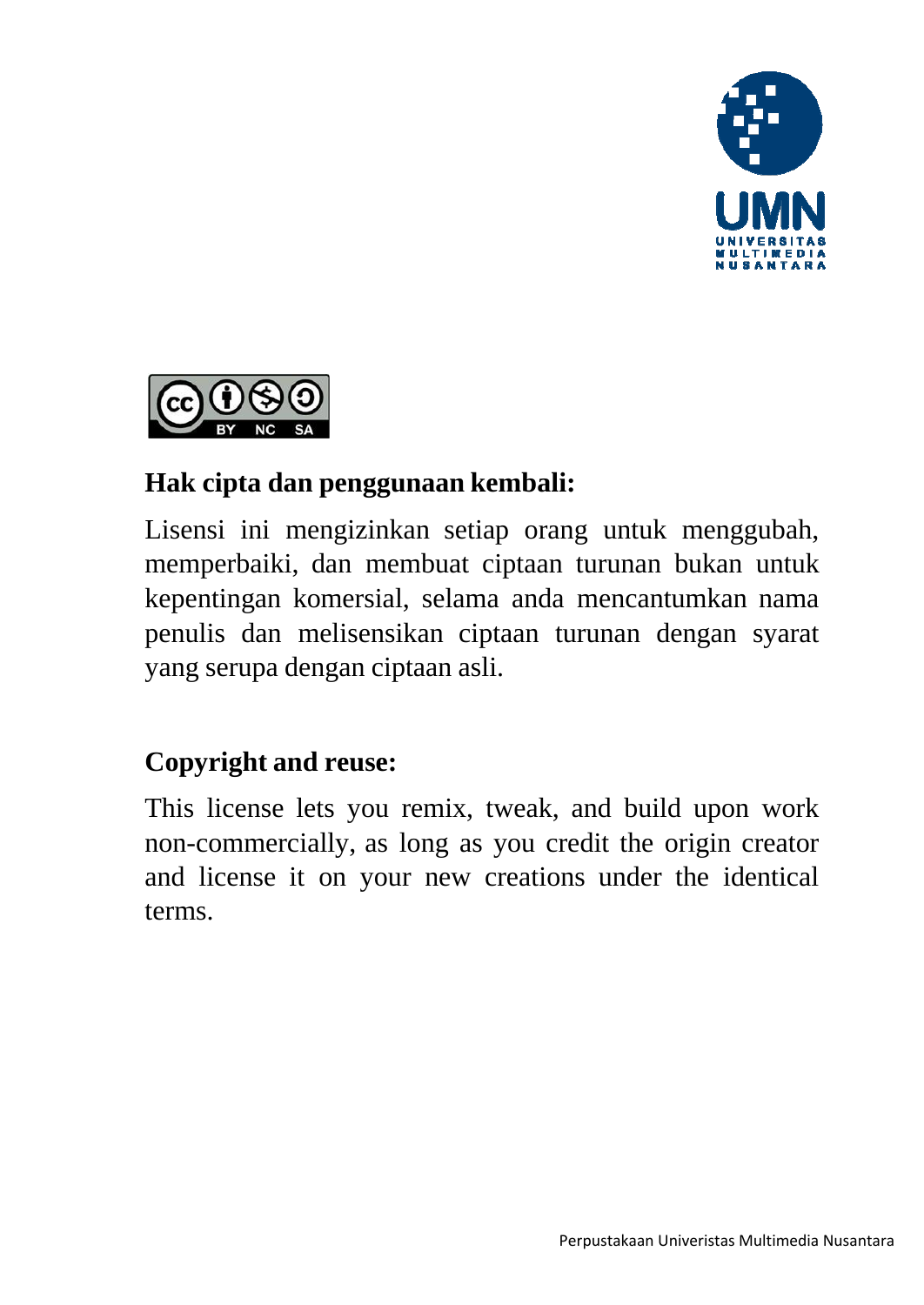



## **Hak cipta dan penggunaan kembali:**

Lisensi ini mengizinkan setiap orang untuk menggubah, memperbaiki, dan membuat ciptaan turunan bukan untuk kepentingan komersial, selama anda mencantumkan nama penulis dan melisensikan ciptaan turunan dengan syarat yang serupa dengan ciptaan asli.

## **Copyright and reuse:**

This license lets you remix, tweak, and build upon work non-commercially, as long as you credit the origin creator and license it on your new creations under the identical terms.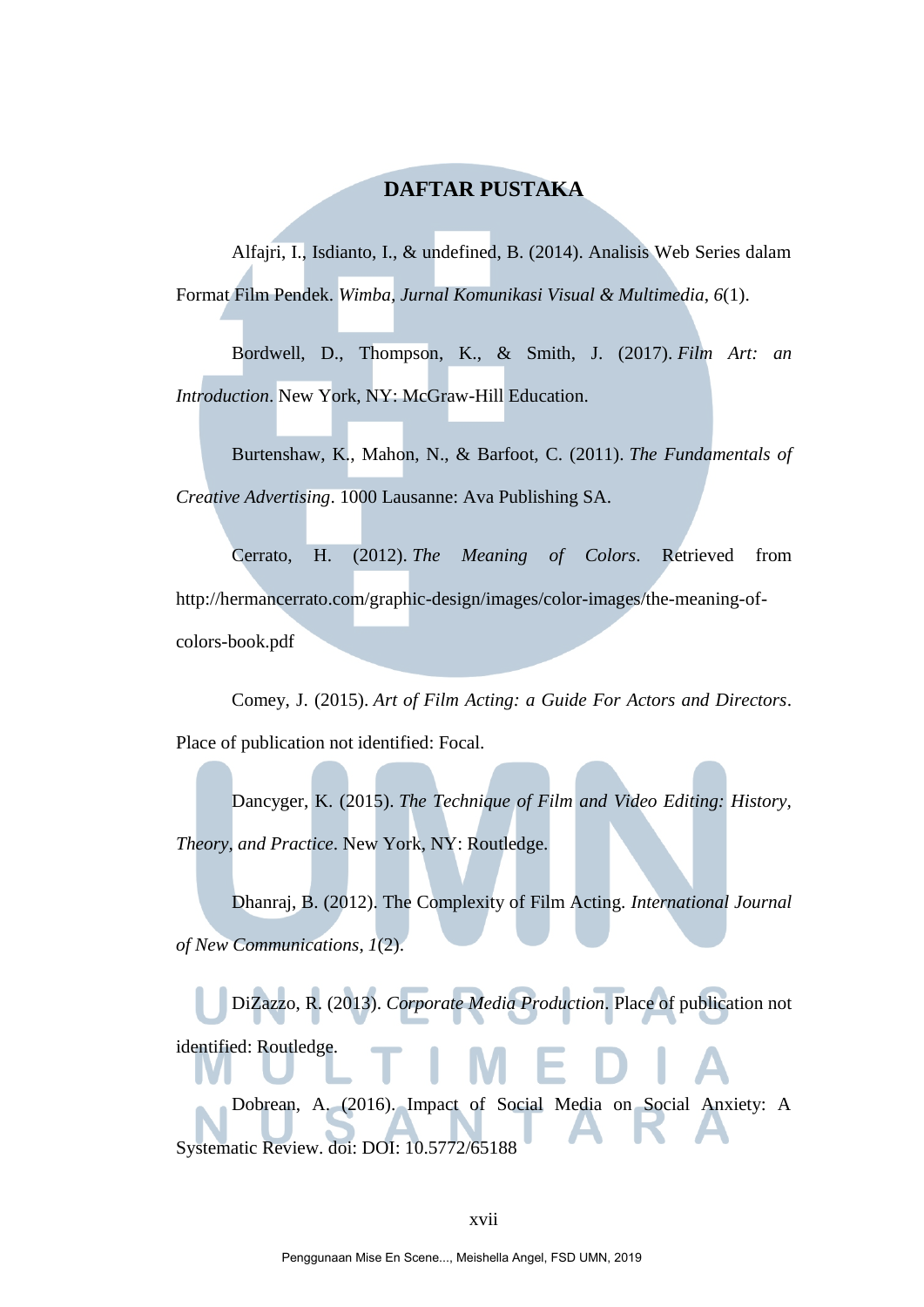### **DAFTAR PUSTAKA**

Alfajri, I., Isdianto, I., & undefined, B. (2014). Analisis Web Series dalam Format Film Pendek. *Wimba, Jurnal Komunikasi Visual & Multimedia*, *6*(1).

Bordwell, D., Thompson, K., & Smith, J. (2017). *Film Art: an Introduction*. New York, NY: McGraw-Hill Education.

Burtenshaw, K., Mahon, N., & Barfoot, C. (2011). *The Fundamentals of Creative Advertising*. 1000 Lausanne: Ava Publishing SA.

Cerrato, H. (2012). *The Meaning of Colors*. Retrieved from http://hermancerrato.com/graphic-design/images/color-images/the-meaning-ofcolors-book.pdf

Comey, J. (2015). *Art of Film Acting: a Guide For Actors and Directors*. Place of publication not identified: Focal.

Dancyger, K. (2015). *The Technique of Film and Video Editing: History, Theory, and Practice*. New York, NY: Routledge.

Dhanraj, B. (2012). The Complexity of Film Acting. *International Journal of New Communications*, *1*(2).

DiZazzo, R. (2013). *Corporate Media Production*. Place of publication not identified: Routledge.

Dobrean, A. (2016). Impact of Social Media on Social Anxiety: A Systematic Review. doi: DOI: 10.5772/65188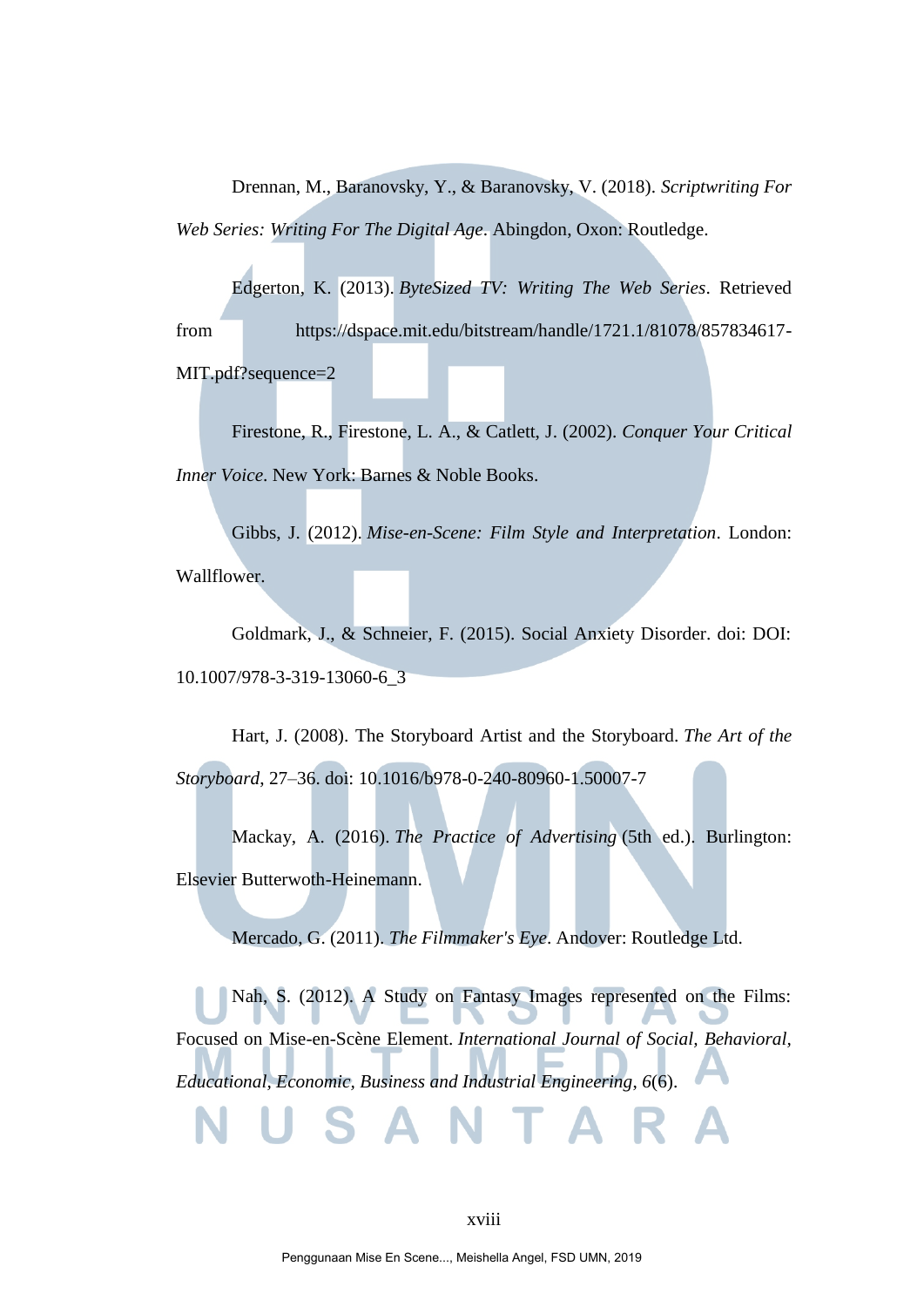Drennan, M., Baranovsky, Y., & Baranovsky, V. (2018). *Scriptwriting For Web Series: Writing For The Digital Age*. Abingdon, Oxon: Routledge.

Edgerton, K. (2013). *ByteSized TV: Writing The Web Series*. Retrieved from https://dspace.mit.edu/bitstream/handle/1721.1/81078/857834617- MIT.pdf?sequence=2

Firestone, R., Firestone, L. A., & Catlett, J. (2002). *Conquer Your Critical Inner Voice*. New York: Barnes & Noble Books.

Gibbs, J. (2012). *Mise-en-Scene: Film Style and Interpretation*. London: Wallflower.

Goldmark, J., & Schneier, F. (2015). Social Anxiety Disorder. doi: DOI: 10.1007/978-3-319-13060-6\_3

Hart, J. (2008). The Storyboard Artist and the Storyboard. *The Art of the Storyboard*, 27–36. doi: 10.1016/b978-0-240-80960-1.50007-7

Mackay, A. (2016). *The Practice of Advertising* (5th ed.). Burlington: Elsevier Butterwoth-Heinemann.

Mercado, G. (2011). *The Filmmaker's Eye*. Andover: Routledge Ltd.

Nah, S. (2012). A Study on Fantasy Images represented on the Films: Focused on Mise-en-Scène Element. *International Journal of Social, Behavioral, Educational, Economic, Business and Industrial Engineering*, *6*(6).

#### xviii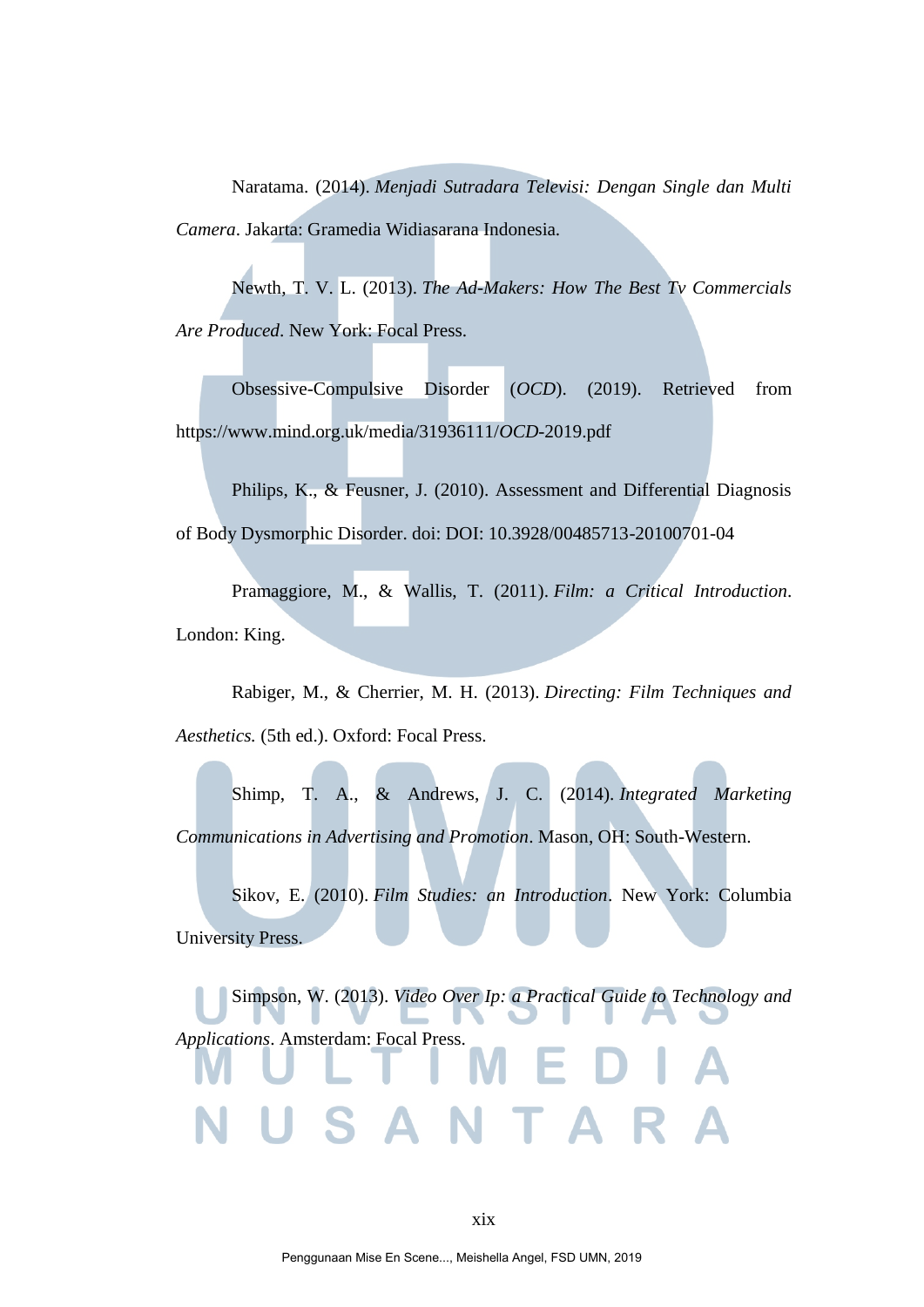Naratama. (2014). *Menjadi Sutradara Televisi: Dengan Single dan Multi Camera*. Jakarta: Gramedia Widiasarana Indonesia.

Newth, T. V. L. (2013). *The Ad-Makers: How The Best Tv Commercials Are Produced*. New York: Focal Press.

Obsessive-Compulsive Disorder (*OCD*). (2019). Retrieved from https://www.mind.org.uk/media/31936111/*OCD*-2019.pdf

Philips, K., & Feusner, J. (2010). Assessment and Differential Diagnosis of Body Dysmorphic Disorder. doi: DOI: 10.3928/00485713-20100701-04

Pramaggiore, M., & Wallis, T. (2011). *Film: a Critical Introduction*. London: King.

Rabiger, M., & Cherrier, M. H. (2013). *Directing: Film Techniques and Aesthetics.* (5th ed.). Oxford: Focal Press.

Shimp, T. A., & Andrews, J. C. (2014). *Integrated Marketing Communications in Advertising and Promotion*. Mason, OH: South-Western.

Sikov, E. (2010). *Film Studies: an Introduction*. New York: Columbia University Press.

Simpson, W. (2013). *Video Over Ip: a Practical Guide to Technology and Applications*. Amsterdam: Focal Press.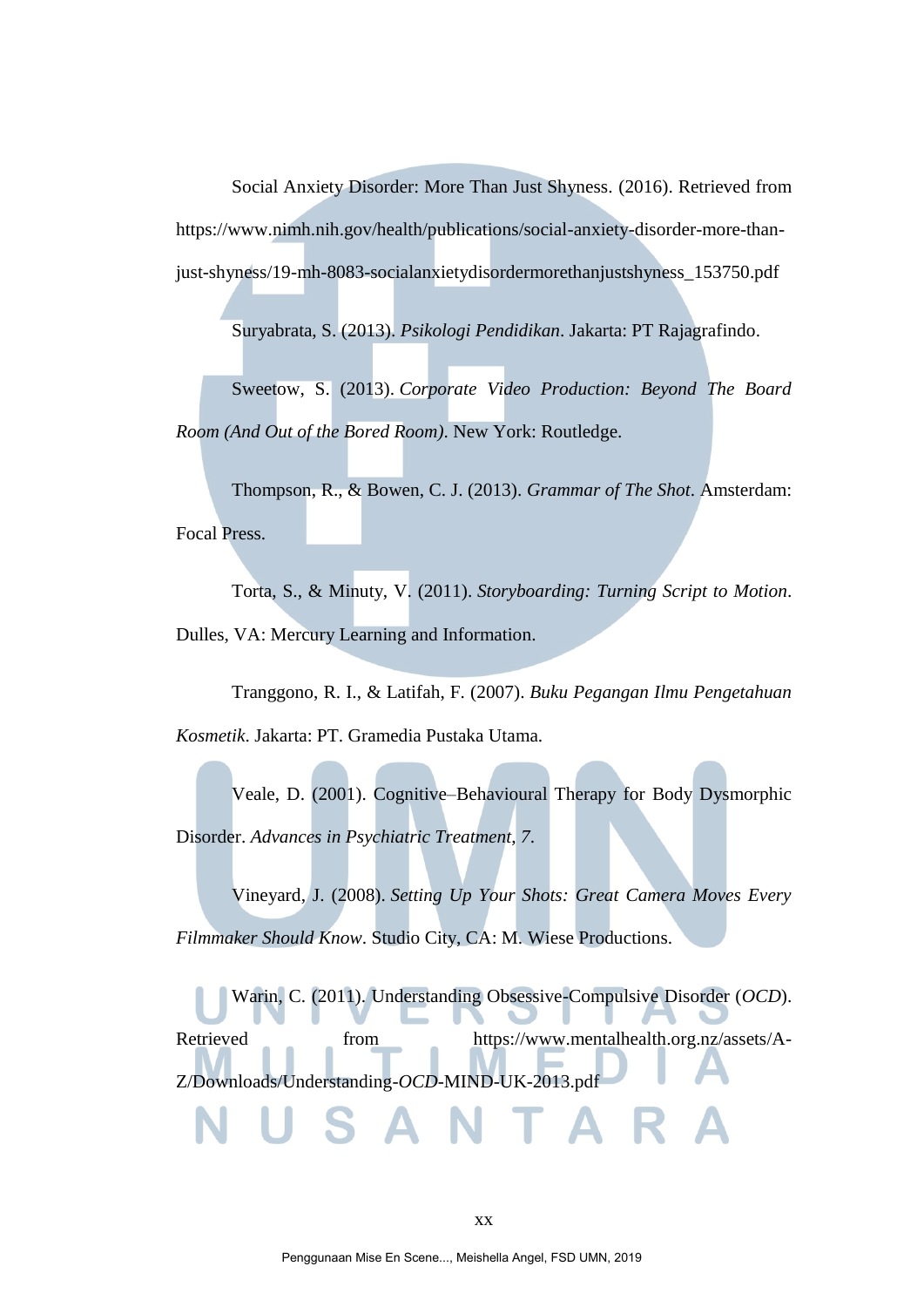Social Anxiety Disorder: More Than Just Shyness. (2016). Retrieved from https://www.nimh.nih.gov/health/publications/social-anxiety-disorder-more-thanjust-shyness/19-mh-8083-socialanxietydisordermorethanjustshyness\_153750.pdf

Suryabrata, S. (2013). *Psikologi Pendidikan*. Jakarta: PT Rajagrafindo.

Sweetow, S. (2013). *Corporate Video Production: Beyond The Board Room (And Out of the Bored Room)*. New York: Routledge.

Thompson, R., & Bowen, C. J. (2013). *Grammar of The Shot*. Amsterdam: Focal Press.

Torta, S., & Minuty, V. (2011). *Storyboarding: Turning Script to Motion*. Dulles, VA: Mercury Learning and Information.

Tranggono, R. I., & Latifah, F. (2007). *Buku Pegangan Ilmu Pengetahuan Kosmetik*. Jakarta: PT. Gramedia Pustaka Utama.

Veale, D. (2001). Cognitive–Behavioural Therapy for Body Dysmorphic Disorder. *Advances in Psychiatric Treatment*, *7*.

Vineyard, J. (2008). *Setting Up Your Shots: Great Camera Moves Every Filmmaker Should Know*. Studio City, CA: M. Wiese Productions.

Warin, C. (2011). Understanding Obsessive-Compulsive Disorder (*OCD*). Retrieved from https://www.mentalhealth.org.nz/assets/A-Z/Downloads/Understanding-*OCD*-MIND-UK-2013.pdf